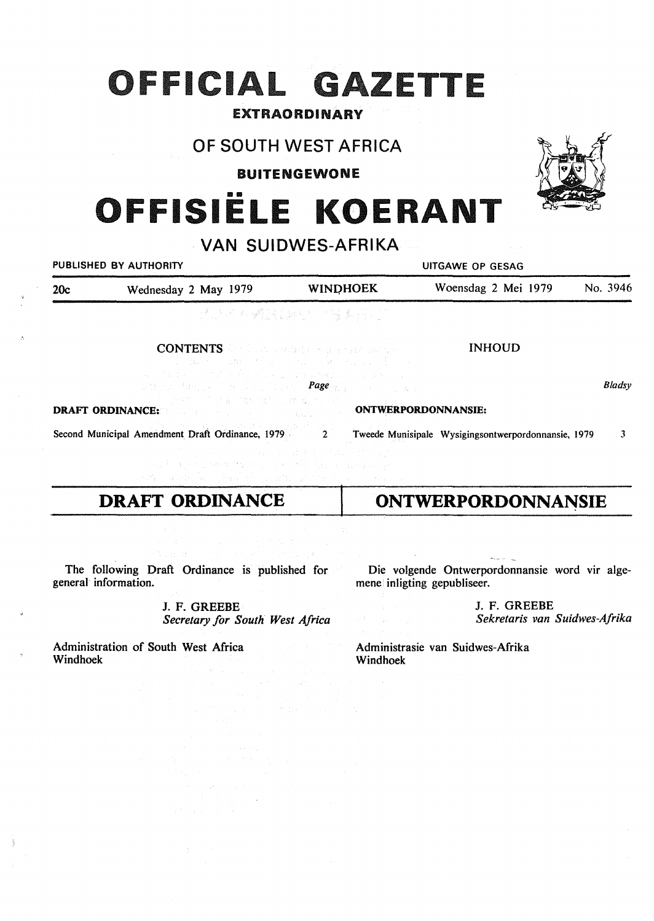# **OFFICIAL GAZETTE**

### EXTRAORDINARY

## OF SOUTH WEST AFRICA

BUITENGEWONE

# OFFISIËLE KOERANT

# · VAN SUIDWES-AFRIKA

|     | PUBLISHED BY AUTHORITY                                                                                          | UITGAWE OP GESAG                        |                                                     |          |  |
|-----|-----------------------------------------------------------------------------------------------------------------|-----------------------------------------|-----------------------------------------------------|----------|--|
| 20c | Wednesday 2 May 1979                                                                                            | <b>WINDHOEK</b>                         | Woensdag 2 Mei 1979                                 | No. 3946 |  |
|     |                                                                                                                 | 通话的 经增强股份 计缩微吸收                         |                                                     |          |  |
|     | <b>CONTENTS</b> for the substantial experimental<br>and the part of the first security probability of part of a | (2) A. M. MORE MARKET STATE STATE STATE | <b>INHOUD</b>                                       |          |  |
|     | sa tinggal Amerika Selasa Selasang <b>Page</b> nggal Selasang Amer<br>2. "小说'特别',你还要不做好'能',让'翻'做'就'一对',一定可能是否。  |                                         |                                                     | Bladsy   |  |
|     | <b>DRAFT ORDINANCE: CONTRACT ORDINANCE: CONTRACT ORDINANCE:</b>                                                 |                                         |                                                     |          |  |
|     | Second Municipal Amendment Draft Ordinance, 1979 2                                                              |                                         | Tweede Munisipale Wysigingsontwerpordonnansie, 1979 | 3        |  |
|     | and approximating a constitution of a property<br>and consider the complete complete the first constant of      | アンティー・ショット おとめ アストラン はいしめい えい           |                                                     |          |  |

# **DRAFT ORDINANCE**

Die volgende Ontwerpordonnansie word vir algemene inligting gepubliseer.

**ONTWERPORDONNANSIE** 

J. F. GREEBE *Sekretaris van Suidwes-Afrika* 

The following Draft Ordinance is published for general information.

> J. F. GREEBE *Secretary for South West Africa*

Administration of South West Africa Windhoek

Administrasie van Suidwes-Afrika Windhoek

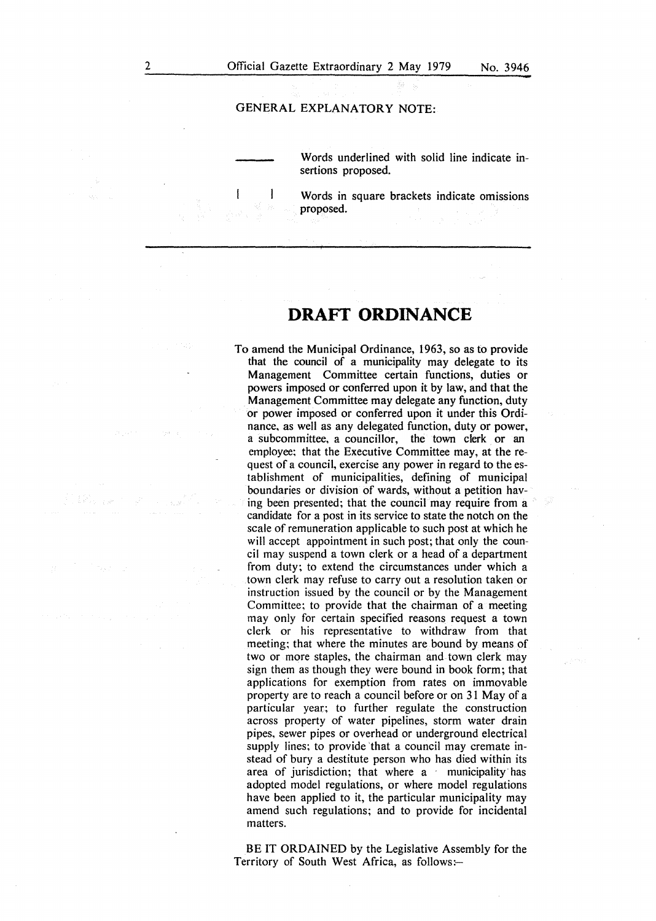### GENERAL EXPLANATORY NOTE:

Words underlined with solid line indicate insertions proposed.

Words in square brackets indicate omissions proposed.

# **DRAFT ORDINANCE**

To amend the Municipal Ordinance, 1963, so as to provide that the council of a municipality may delegate to its Management Committee certain functions, duties or powers imposed or conferred upon it by law, and that the Management Committee may delegate any function, duty or power imposed or conferred upon it under this Ordinance, as well as any delegated function, duty or power, a subcommittee, a councillor, the town clerk or an employee; that the Executive Committee may, at the request of a council, exercise any power in regard to the establishment of municipalities, defining of municipal boundaries or division of wards, without a petition having been presented; that the council may require from a candidate for a post in its service to state the notch on the scale of remuneration applicable to such post at which he will accept appointment in such post; that only the council may suspend a town clerk or a head of a department from duty; to extend the circumstances under which a town clerk may refuse to carry out a resolution taken or instruction issued by the council or by the Management Committee; to provide that the chairman of a meeting may only for certain specified reasons request a town clerk or his representative to withdraw from that meeting; that where the minutes are bound by means of two or more staples, the chairman and town clerk may sign them as though they were bound in book form; that applications for exemption from rates on immovable property are to reach a council before or on 31 May of a particular year; to further regulate the construction across property of water pipelines, storm water drain pipes, sewer pipes or overhead or underground electrical supply lines; to provide 'that a council may cremate instead of bury a destitute person who has died within its area of jurisdiction; that where a municipality has adopted model regulations, or where model regulations have been applied to it, the particular municipality may amend such regulations; and to provide for incidental matters.

BE IT ORDAINED by the Legislative Assembly for the Territory of South West Africa, as follows:-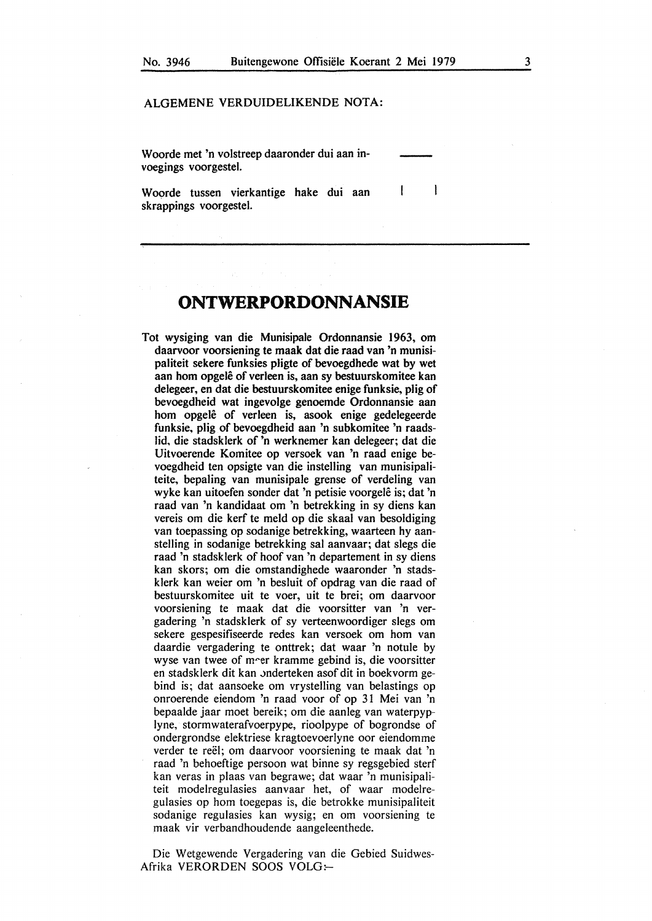$\mathbf{I}$ 

### ALGEMENE VERDUIDELIKENDE NOTA:

Woorde met 'n volstreep daaronder dui aan invoegings voorgestel.

 $\mathbf{I}$ Woorde tussen vierkantige hake dui aan skrappings voorgestel.

## **ONTWERPORDONNANSIE**

Tot wysiging van die Munisipale Ordonnansie 1963, om daarvoor voorsiening te maak dat die raad van 'n munisipaliteit sekere funksies pligte of bevoegdhede wat by wet aan hom opgelê of verleen is, aan sy bestuurskomitee kan delegeer, en dat die bestuurskomitee enige funksie, plig of bevoegdheid wat ingevolge genoemde Ordonnansie aan hom opgelê of verleen is, asook enige gedelegeerde funksie, plig of bevoegdheid aan 'n subkomitee 'n raadslid, die stadsklerk of 'n werknemer kan delegeer; dat die Uitvoerende Komitee op versoek van 'n raad enige bevoegdheid ten opsigte van die instelling van munisipaliteite, bepaling van munisipale grense of verdeling van wyke kan uitoefen sonder dat 'n petisie voorgelê is; dat 'n raad van 'n kandidaat om 'n betrekking in sy diens kan vereis om die kerf te meld op die skaal van besoldiging van toepassing op sodanige betrekking, waarteen hy aanstelling in sodanige betrekking sal aanvaar; dat slegs die raad 'n stadsklerk of hoof van 'n departement in sy diens kan skors; om die omstandighede waaronder 'n stadsklerk kan weier om 'n besluit of opdrag van die raad of bestuurskomitee uit te voer, uit te brei; om daarvoor voorsiening te maak dat die voorsitter van 'n vergadering 'n stadsklerk of sy verteenwoordiger slegs om sekere gespesifiseerde redes kan versoek om horn van daardie vergadering te onttrek; dat waar 'n notule by wyse van twee of m"er kramme gebind is, die voorsitter en stadsklerk dit kan onderteken asof dit in boekvorm gebind is; dat aansoeke om vrystelling van belastings op onroerende eiendom 'n raad voor of op 31 Mei van 'n bepaalde jaar moet bereik; om die aanleg van waterpyplyne, stormwaterafvoerpype, rioolpype of bogrondse of ondergrondse elektriese kragtoevoerlyne oor eiendomme verder te reël; om daarvoor voorsiening te maak dat 'n raad 'n behoeftige persoon wat binne sy regsgebied sterf kan veras in plaas van begrawe; dat waar 'n munisipaliteit modelregulasies aanvaar het, of waar modelregulasies op horn toegepas is, die betrokke munisipaliteit sodanige regulasies kan wysig; en om voorsiening te maak vir verbandhoudende aangeleenthede.

Die Wetgewende Vergadering van die Gebied Suidwes-Afrika VERORDEN SOOS VOLG:-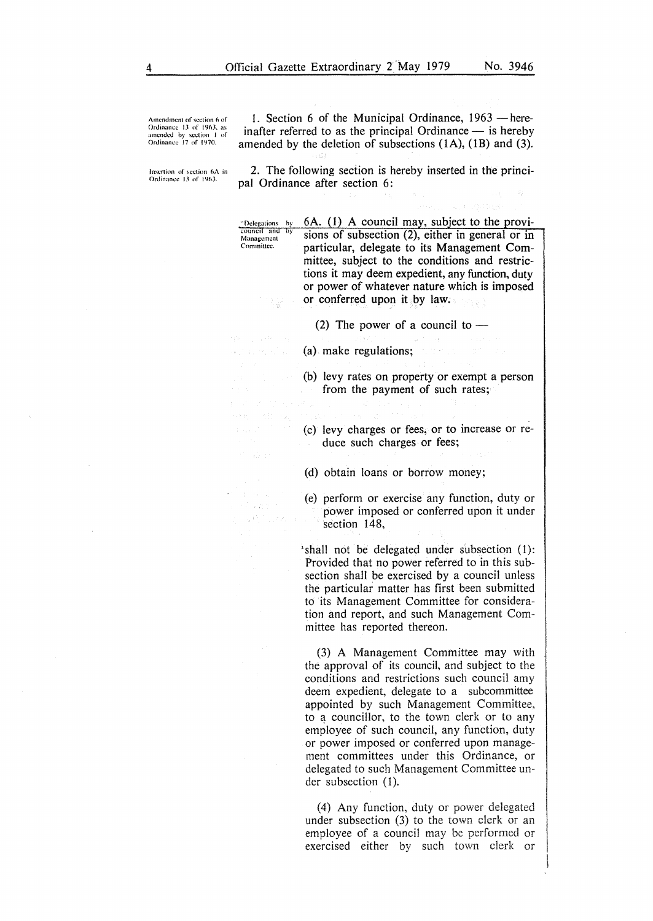Amendment of section 6 of<br>**Ordinance 13** of 1963, as amended by section I of<br>Ordinance 17 of 1970.

1. Section 6 of the Municipal Ordinance, 1963 – here**inafter referred to as the principal Ordinance — is hereby amended by the deletion of subsections (IA), (lB) and (3).** 

**Insertion of section 6A in Ordinance 13 of 1963.** 

> **Management**  Committee.

 $\mathcal{L}_{\mathcal{L}}^{(n)}(\mathcal{L}_{\mathcal{L}}^{(n)},\mathcal{V}_{\mathcal{L}}^{(n)},\mathcal{V}_{\mathcal{L}}^{(n)},\mathcal{V}_{\mathcal{L}}^{(n)})$ 

in 2007.

 $\beta \rightarrow \gamma \gamma_{\rm c}$ 

**2. The following section is hereby inserted in the principal Ordinance after section 6:** 

·· **()clc\_~ations**  by 6A. (I) A council may, subject to the provicouncil and sions of subsection  $(2)$ , either in general or in particular, delegate to its Management Committee, subject to the conditions and restrictions it may deem expedient, any function, duty or power of whatever nature which is imposed or conferred upon it by law.

(2) The power of a council to  $-$ 

- (a) make regulations;
- 
- (b) levy rates on property or exempt a person from the payment of such rates;
- (c) levy charges or fees, or to increase or re
	- duce such charges or fees;

(d) obtain loans or borrow money;

(e) perform or exercise any function, duty or power imposed or conferred upon it under section 148,

'shall not be delegated under subsection (l): Provided that no power referred to in this subsection shall be exercised by a council unless the particular matter has first been submitted to its Management Committee for consideration and report, and such Management Committee has reported thereon.

(3) A Management Committee may with the approval of its council, and subject to the conditions and restrictions such council amy deem expedient, delegate to a subcommittee appointed by such Management Committee, to a councillor, to the town clerk or to any employee of such council, any function, duty or power imposed or conferred upon management committees under this Ordinance, or delegated to such Management Committee under subsection (1).

(4) Any function, duty or power delegated under subsection (3) to the town clerk or an employee of a council may be performed or exercised either by such town clerk or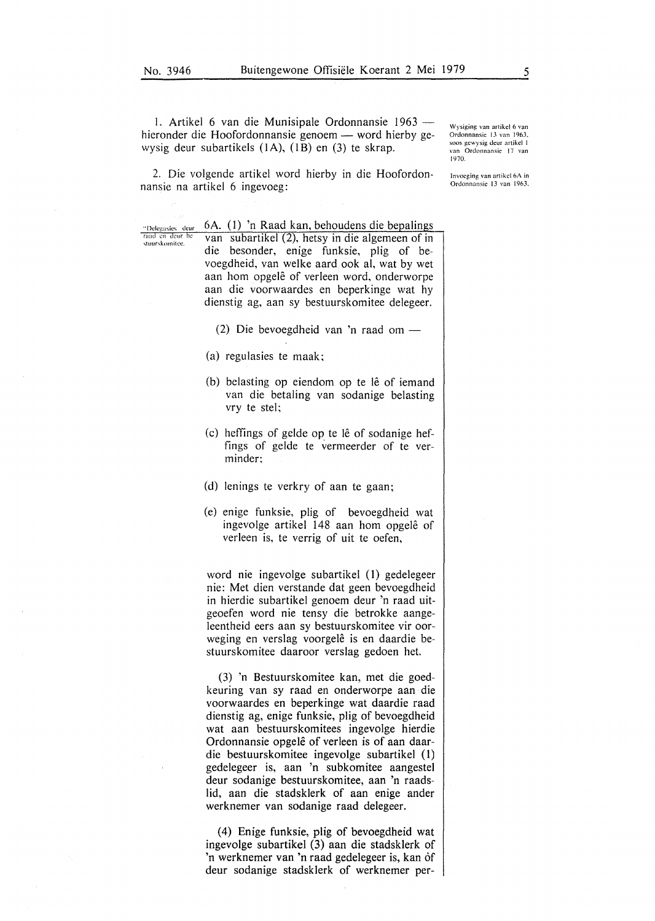"Delegasics dcur<br>raad en deur he stuurskomitee.

1. Artikel 6 van die Munisipale Ordonnansie 1963 hieronder die Hoofordonnansie genoem - word hierby gewysig deur subartikels (1A), (1B) en (3) te skrap.

Wysiging van artikcl 6 van Ordonnansic 13 van 1963. soos gewysig deur artikel 1 van Ordonnansic 17 van 1970.

Invocging van artikcl 6A in Ordonnansic 13 van 1963.

2. Die volgende artikel word hierby in die Hoofordonnansie na artikel 6 ingevoeg:

6A. (I) 'n Raad kan, behoudens die beoalings

van subartikel (2), hetsy in die algemeen of in die besonder, enige funksie, plig of bevoegdheid, van welke aard ook al, wat by wet aan hom opgelê of verleen word, onderworpe aan die voorwaardes en beperkinge wat hy dienstig ag, aan sy bestuurskomitee delegeer.

- (2) Die bevoegdheid van 'n raad om -
- (a) regulasies te maak;
- (b) belasting op eiendom op te lê of iemand van die betaling van sodanige belasting vry te stel;
- $(c)$  heffings of gelde op te lê of sodanige heffings of gelde te vermeerder of te verminder:
- (d) lenings te verkry of aan te gaan;
- (e) enige funksie, plig of bevoegdheid wat ingevolge artikel 148 aan hom opgelê of verleen is, te verrig of uit te oefen,

word nie ingevolge subartikel (1) gedelegeer nie: Met dien verstande dat geen bevoegdheid in hierdie subartikel genoem deur 'n raad uitgeoefen word nie tensy die betrokke aangeleentheid eers aan sy bestuurskomitee vir oorweging en verslag voorgelê is en daardie bestuurskomitee daaroor verslag gedoen het.

(3) 'n Bestuurskomitee kan, met die goedkeuring van sy raad en onderworpe aan die voorwaardes en beperkinge wat daardie raad dienstig ag, enige funksie, plig of bevoegdheid wat aan bestuurskomitees ingevolge hierdie Ordonnansie opgele of verleen is of aan daardie bestuurskomitee ingevolge subartikel (1) gedelegeer is, aan 'n subkomitee aangestel deur sodanige bestuurskomitee, aan 'n raadslid, aan die stadsklerk of aan enige ander werknemer van sodanige raad delegeer.

(4) Enige funksie, plig of bevoegdheid wat ingevolge subartikel (3) aan die stadsklerk of 'n werknemer van 'n raad gedelegeer is, kan of deur sodanige stadsklerk of werknemer per-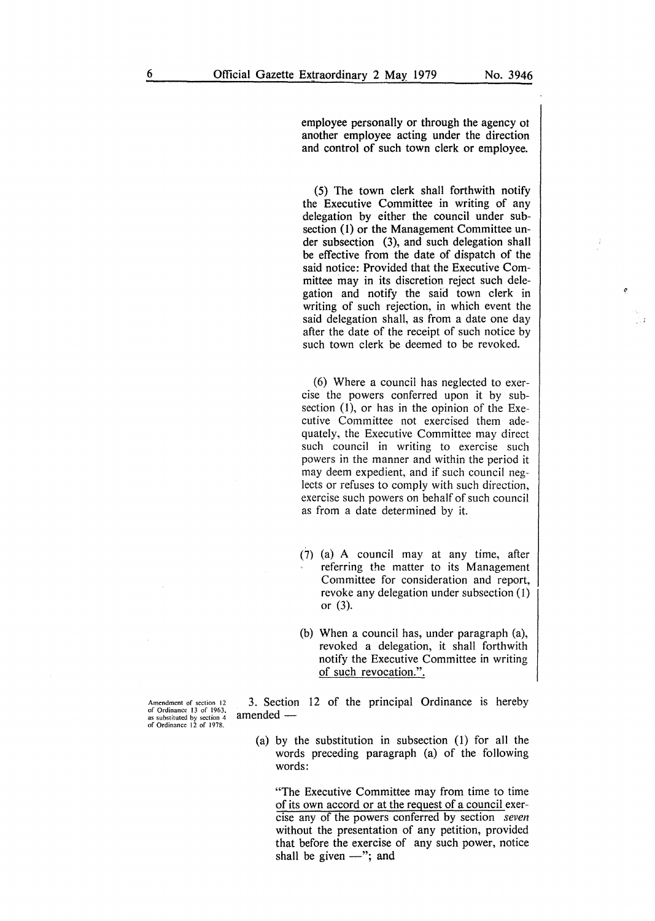C

employee personally or through the agency ot another employee acting under the direction and control of such town clerk or employee.

(5) The town clerk shall forthwith notify the Executive Committee in writing of any delegation by either the council under subsection (1) or the Management Committee under subsection (3), and such delegation shall be effective from the date of dispatch of the said notice: Provided that the Executive Committee may in its discretion reject such delegation and notify the said town clerk in writing of such rejection, in which event the said delegation shall, as from a date one day after the date of the receipt of such notice by such town clerk be deemed to be revoked.

(6) Where a council has neglected to exercise the powers conferred upon it by subsection  $(1)$ , or has in the opinion of the Executive Committee not exercised them adequately, the Executive Committee may direct such council in writing to exercise such powers in the manner and within the period it may deem expedient, and if such council neglects or refuses to comply with such direction, exercise such powers on behalf of such council as from a date determined by it.

- (7) (a) A council may at any time, after referring the matter to its Management Committee for consideration and report, revoke any delegation under subsection (1) or (3).
- (b) When a council has, under paragraph (a), revoked a delegation, it shall forthwith notify the Executive Committee in writing of such revocation.".

Amendment of section 12 of Ordinance 13 of 1963. as substituted by section 4 of Ordinance 12 of 1978.

3. Section 12 of the principal Ordinance is hereby amended -

(a) by the substitution in subsection (1) for all the words preceding paragraph (a) of the following words:

"The Executive Committee may from time to time of its own accord or at the request of a council exercise any of the powers conferred by section *seven*  without the presentation of any petition, provided that before the exercise of any such power, notice shall be given  $-$ "; and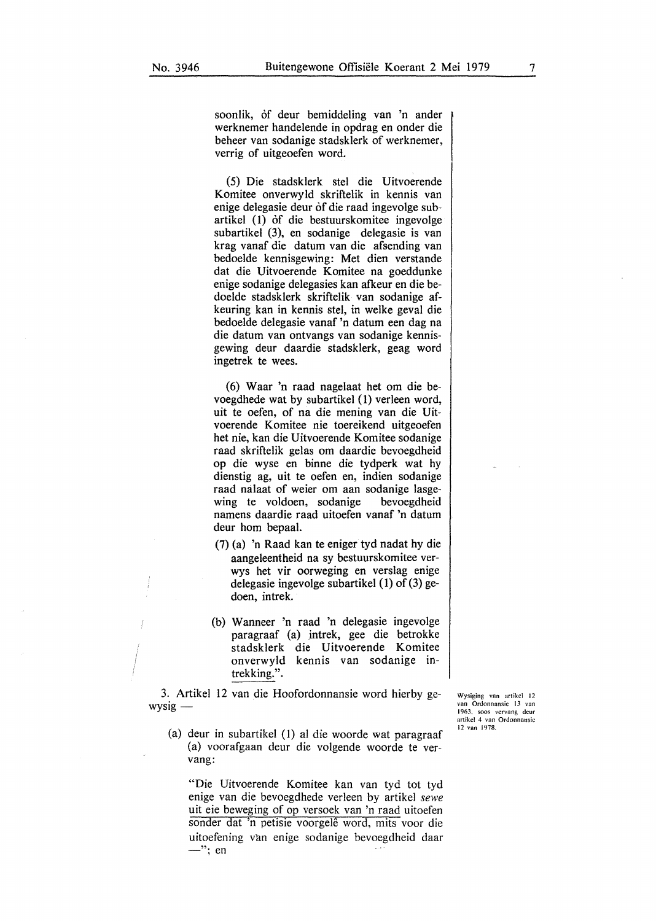soonlik, of deur bemiddeling van 'n ander werknemer handelende in opdrag en onder die beheer van sodanige stadsklerk of werknemer, verrig of uitgeoefen word.

(5) Die stadsklerk stel die Uitvoerende Komitee onverwyld skriftelik in kennis van enige delegasie deur of die raad ingevolge subartikel (1) of die bestuurskomitee ingevolge subartikel (3), en sodanige delegasie is van krag vanaf die datum van die afsending van bedoelde kennisgewing: Met dien verstande dat die Uitvoerende Komitee na goeddunke enige sodanige delegasies kan afkeur en die bedoelde stadsklerk skriftelik van sodanige afkeuring kan in kennis stel, in welke geval die bedoelde delegasie vanaf 'n datum een dag na die datum van ontvangs van sodanige kennisgewing deur daardie stadsklerk, geag word ingetrek te wees.

( 6) Waar 'n raad nagelaat het om die bevoegdhede wat by subartikel (1) verleen word, uit te oefen, of na die mening van die Uitvoerende Komitee nie toereikend uitgeoefen het nie, kan die Uitvoerende Komitee sodanige raad skriftelik gelas om daardie bevoegdheid op die wyse en binne die tydperk wat hy dienstig ag, uit te oefen en, indien sodanige raad nalaat of weier om aan sodanige lasgewing te voldoen, sodanige bevoegdheid namens daardie raad uitoefen vanaf 'n datum deur hom bepaal.

- (7) (a) 'n Raad kan te eniger tyd nadat hy die aangeleentheid na sy bestuurskomitee verwys het vir oorweging en verslag enige delegasie ingevolge subartikel  $(1)$  of  $(3)$  gedoen, intrek.
- (b) Wanneer 'n raad 'n delegasie ingevolge paragraaf (a) intrek, gee die betrokke stadsklerk die Uitvoerende Komitee onverwyld kennis van sodanige intrekking.".

3. Artikel 12 van die Hoofordonnansie word hierby ge $wysig -$ 

- Wysiging van artikcl 12 van Ordonnansic 13 van 1963, soos vervang deur artikcl 4 van Ordonnansic 12 van 1978.
- (a) deur in subartikel (I) al die woorde wat paragraaf (a) voorafgaan deur die volgende woorde te vervang:

"Die Uitvoerende Komitee kan van tyd tot tyd enige van die bevoegdhede verleen by artikel *sewe*  uit eie beweging of op versoek van 'n raad uitoefen sonder dat 'n petisie voorgele word, mits voor die uitoefening van enige sodanige bevoegdheid daar  $-$ "; en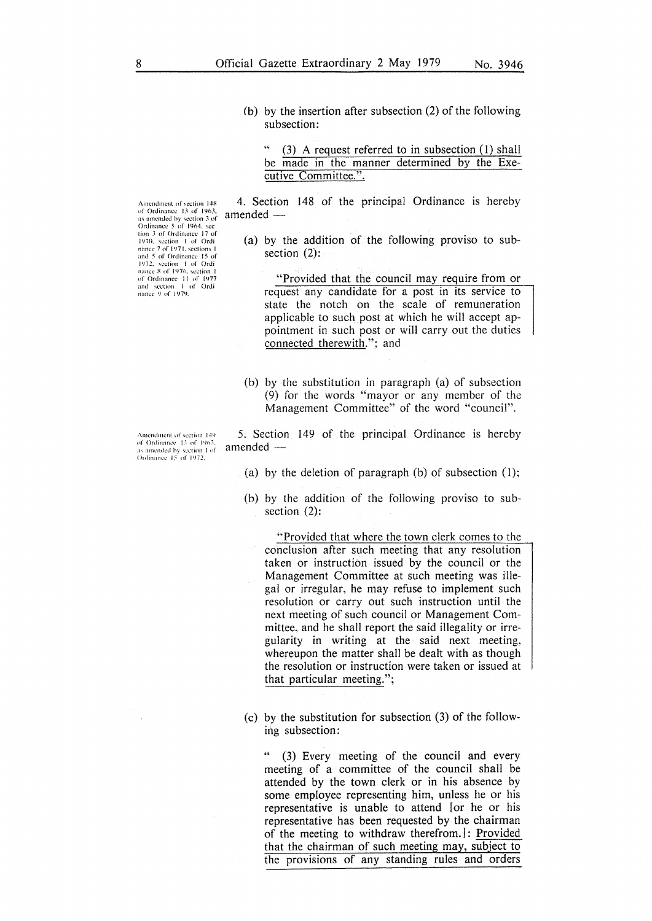- 
- (b) by the insertion after subsection (2) of the following subsection:

 $(3)$  A request referred to in subsection  $(1)$  shall be made in the manner determined by the Executive Committee.".

4. Section 148 of the principal Ordinance is hereby  $a$ mended  $-$ 

(a) by the addition of the following proviso to subsection (2):

"Provided that the council may require from or request any candidate for a post in its service to state the notch on the scale of remuneration applicable to such post at which he will accept appointment in such post or will carry out the duties connected therewith."; and

(b) by the substitution in paragraph (a) of subsection (9) for the words "mayor or any member of the Management Committee" of the word "council".

5. Section 149 of the principal Ordinance is hereby amended —

- (a) by the deletion of paragraph (b) of subsection  $(1)$ ;
- (b) by the addition of the following proviso to subsection (2):

"Provided that where the town clerk comes to the conclusion after such meeting that any resolution taken or instruction issued by the council or the Management Committee at such meeting was illegal or irregular, he may refuse to implement such resolution or carry out such instruction until the next meeting of such council or Management Committee, and he shall report the said illegality or irregularity in writing at the said next meeting, whereupon the matter shall be dealt with as though the resolution or instruction were taken or issued at that particular meeting.";

(c) by the substitution for subsection (3) of the following subsection:

(3) Every meeting of the council and every meeting of a committee of the council shall be attended by the town clerk or in his absence by some employee representing him, unless he or his representative is unable to attend [or he or his representative has been requested by the chairman of the meeting to withdraw therefrom.] : Provided that the chairman of such meeting may, subject to the provisions of any standing rules and orders

Amendment of section 148 of Ordinance 13 of 1963,<br>as amended by section 3 of<br>Ordinance 5 of 1964, sec 1ion 3 of Ordinance 17 of<br>
1970. section 1 of Ordinance 7 of 1971, sections 1 and 5 of Ordinance 15 of 1972, section 1 of Ordi<br>nance 8 of 1976, section 1 of Ordinance II of 1977<br>and section I of Ordi nance 9 of 1979.

Amendment of section 149 principle of *decreasing* 111 as amended hy section 1 of

Ordinance 15 of 1972.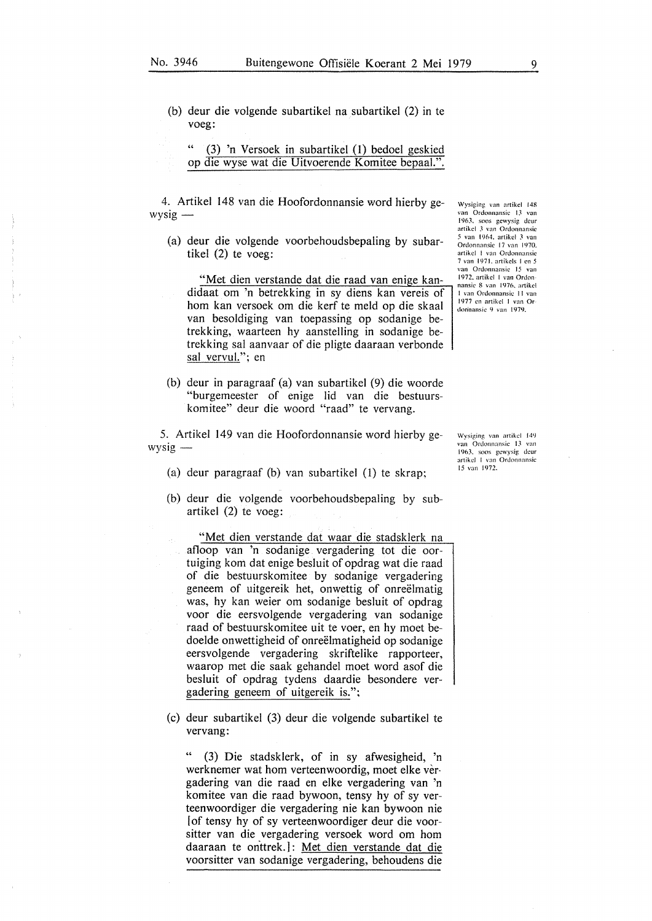(b) deur die volgende subartikel na subartikel (2) in te voeg:

| -66 |  |  | (3) 'n Versoek in subartikel (1) bedoel geskied   |  |
|-----|--|--|---------------------------------------------------|--|
|     |  |  | op die wyse wat die Uitvoerende Komitee bepaal.". |  |

4. Artikel 148 van die Hoofordonnansie word hierby ge $wysig -$ 

(a) deur die volgende voorbehoudsbepaling by subartikel (2) te voeg:

"Met dien verstande dat die raad van enige kandidaat om 'n betrekking in sy diens kan vereis of horn kan versoek om die kerf te meld op die skaal van besoldiging van toepassing op sodanige betrekking, waarteen hy aanstelling in sodanige betrekking sal aanvaar of die pligte daaraan verbonde sal vervul."; en

(b) deur in paragraaf (a) van subartikel (9) die woorde "burgemeester of enige lid van die bestuurskomitee" deur die woord "raad" te vervang.

5. Artikel 149 van die Hoofordonnansie word hierby ge $wysig -$ 

- (a) deur paragraaf (b) van subartikel (1) te skrap;
- (b) deur die volgende voorbehoudsbepaling by subartikel (2) te voeg:

"Met dien verstande dat waar die stadsklerk na afloop van 'n sodanige vergadering tot die oortuiging kom dat enige besluit of opdrag wat die raad of die bestuurskomitee by sodanige vergadering geneem of uitgereik het, onwettig of onreëlmatig was, hy kan weier om sodanige besluit of opdrag voor die eersvolgende vergadering van sodanige raad of bestuurskomitee uit te voer, en hy moet bedoelde onwettigheid of onreelmatigheid op sodanige eersvolgende vergadering skriftelike rapporteer, waarop met die saak gehandel moet word asof die besluit of opdrag tydens daardie besondere vergadering geneem of uitgereik is.";

(c) deur subartikel (3) deur die volgende subartikel te vervang:

(3) Die stadsklerk, of in sy afwesigheid, 'n werknemer wat hom verteenwoordig, moet elke vergadering van die raad en elke vergadering van 'n komitee van die raad bywoon, tensy hy of sy verteenwoordiger die vergadering nie kan bywoon nie I of tensy hy of sy verteenwoordiger deur die voorsitter van die vergadering versoek word om horn daaraan te onttrek.]: Met dien verstande dat die voorsitter van sodanige vergadering, behoudens die

Wysiging van artikcl 148 van Ordonnansic 13 van 1963. soos gewysig deur artikcl J van Ordonnansic 5 van l 964. artikcl J van Ordonnansie 17 van 1970. artikel I van Ordonnansic 7 van I 971. artikcls I en *5*  van Ordonnansic 15 van 1972. artikcl I van Ordon nansic 8 van 1976, artikcl I van Ordonnansic I I van 1977 en artikcl 1 van Or donnansic 9 van 1979.

\Vysiging van artikcl 149 van Ordonnansic 13 van 1963. sons gcwysig dcur artikcl l van Ordonnansic 15 van 1972.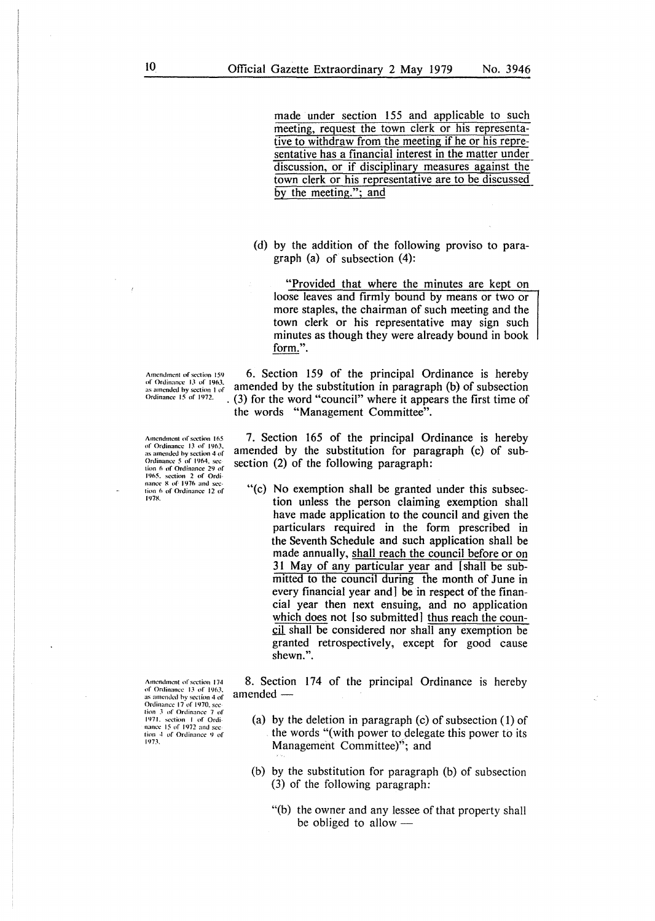made under section 155 and applicable to such meeting, request the town clerk or his representative to withdraw from the meeting if he or his representative has a financial interest in the matter under discussion, or if disciplinary measures against the town clerk or his representative are to be discussed by the meeting."; and

(d) by the addition of the following proviso to paragraph (a) of subsection (4):

"Provided that where the minutes are kept on loose leaves and firmly bound by means or two or more staples, the chairman of such meeting and the town clerk or his representative may sign such minutes as though they were already bound in book form.".

Amendment of section 159 6. Section 159 of the principal Ordinance is hereby of Ordinance 13 of 1963.<br>
as amended by the substitution in paragraph (b) of subsection  $Ordinance$  15 of 1972.<br>  $Ordinance$  15 of 1972. (3) for the word  $(3)$  for the word "council" where it appears the first time of the words "Management Committee".

> 7. Section 165 of the principal Ordinance is hereby amended by the substitution for paragraph (c) of subsection (2) of the following paragraph:

"(c) No exemption shall be granted under this subsection unless the person claiming exemption shall have made application to the council and given the particulars required in the form prescribed in the Seventh Schedule and such application shall be made annually, shall reach the council before or on 31 May of any particular year and [shall be submitted to the council during the month of June in every financial year and] be in respect of the financial year then next ensuing, and no application which does not [so submitted] thus reach the council shall be considered nor shall any exemption be granted retrospectively, except for good cause shewn.".

8. Section 174 of the principal Ordinance is hereby amended -

- (a) by the deletion in paragraph (c) of subsection (I) of the words "( with power to delegate this power to its Management Committee)"; and
- (b) by the substitution for paragraph (b) of subsection (3) of the following paragraph:
	- "(b) the owner and any lessee of that property shall be obliged to allow  $-$

Amendment of section 165 of Ordinance 13 of 1963, as amended by section 4 of Ortlimmcc *5* of 1964. sec lion 6 of Ordinance 29 of<br>1965. section 2 of Ordinance 8 of 1976 and section 6 of Ordinance 12 of<br>1978.

Amendment of section 174 of Ordinance 13 of 1963. as amended by section 4 of<br>Ordinance 17 of 1970, sec-<br>tion 3- of Ordinance 7- of 1971, section 1 of Ordi-<br>nance 15 of 1972 and section 4 of Ordinance 9 of 197;\.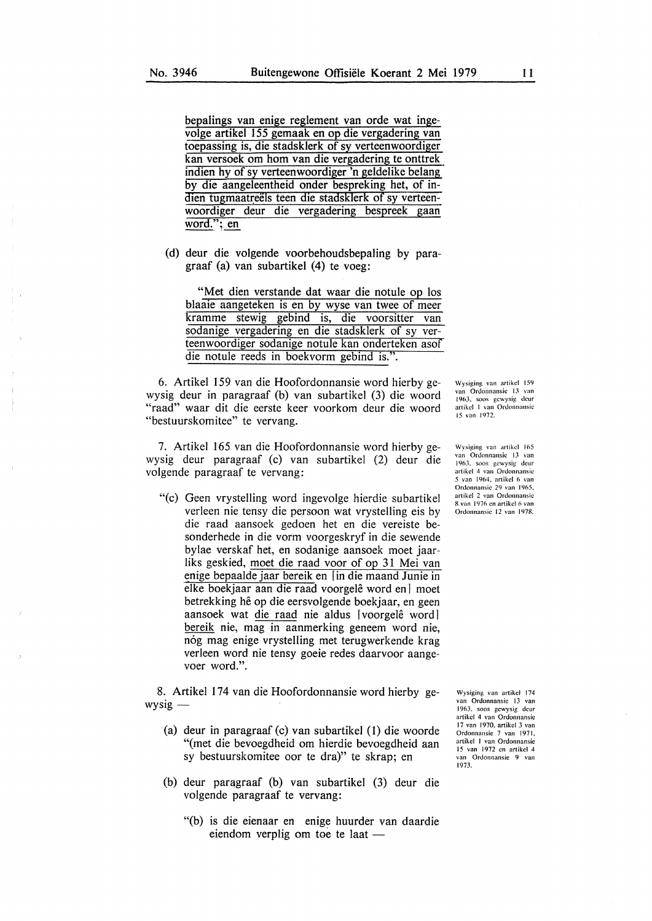bepalings van enige reglement van orde wat ingevolge artikel 155 gemaak en op die vergadering van toepassing is, die stadsklerk of sy verteenwoordiger kan versoek om hom van die vergadering te onttrek indien hy of sy verteenwoordiger 'n geldelike belang by die aangeleentheid onder bespreking bet, of indien tugmaatreëls teen die stadsklerk of sy verteenwoordiger deur die vergadering bespreek gaan word."; en

(d) deur die volgende voorbehoudsbepaling by paragraaf (a) van subartikel (4) te voeg:

"Met dien verstande dat waar die notule op los blaaie aangeteken is en by wyse van twee of meer kramme stewig gebind is, die voorsitter van sodanige vergadering en die stadsklerk of sy verteenwoordiger sodanige notule kan onderteken asof die notule reeds in boekvorm gebind is.".

6. Artikel 159 van die Hoofordonnansie word hierby gewysig deur in paragraaf (b) van subartikel (3) die woord "raad" waar dit die eerste keer voorkom deur die woord "bestuurskomitee" te vervang.

7. Artikel 165 van die Hoofordonnansie word hierby gewysig deur paragraaf (c) van subartikel (2) deur die volgende paragraaf te vervang:

"(c) Geen vrystelling word ingevolge hierdie subartikel verleen nie tensy die persoon wat vrystelling eis by die raad aansoek gedoen het en die vereiste besonderhede in die vorm voorgeskryf in die sewende bylae verskaf bet, en sodanige aansoek moet jaarliks geskied, moet die raad voor of op 31 Mei van enige bepaalde jaar bereik en [in die maand Junie in elke boekjaar aan die raad voorgelê word en moet betrekking he op die eersvolgende boekjaar, en geen aansoek wat die raad nie aldus [voorgelê word] bereik nie, mag in aanmerking geneem word nie, nóg mag enige vrystelling met terugwerkende krag verleen word nie tensy goeie redes daarvoor aangevoer word.".

8. Artikel 174 van die Hoofordonnansie word hierby ge $wysig -$ 

- (a) deur in paragraaf (c) van subartikel (1) die woorde "(met die bevoegdheid om hierdie bevoegdheid aan sy bestuurskomitee oor te dra)" te skrap; en
- (b) deur paragraaf (b) van subartikel (3) deur die volgende paragraaf te vervang:
	- "(b) is die eienaar en enige huurder van daardie eiendom verplig om toe te laat -

1963. soos gewysig deur artikcl I van Ordonnansic 15 van 1972.

\Vysiging van artikcl 159 van Ordonnansic 13 van

Wysiging van artikel 165 van Ordonnansic 13 van 1963, soos gewysig deur<br>artikel 4 van Ordonnansie van 1964, artikel 6 van Ordonnansic 29 van 1965. artikcl 2 van Ordonnansic 8 van l 976 en artikcl 6 van Ordonnansic 12 van 1978.

Wysiging. van artikcl 174 van Ordonnansic 13 van 1963. soos gcwysig dcur arlikcl 4 van Ordonnansic 17 van 1970. artikel 3 van Ordonnansic 7 van 1971. artikcl I van Ordonnansic 15 van 1972 en artikel 4 van Ordonnansic 9 van 1973.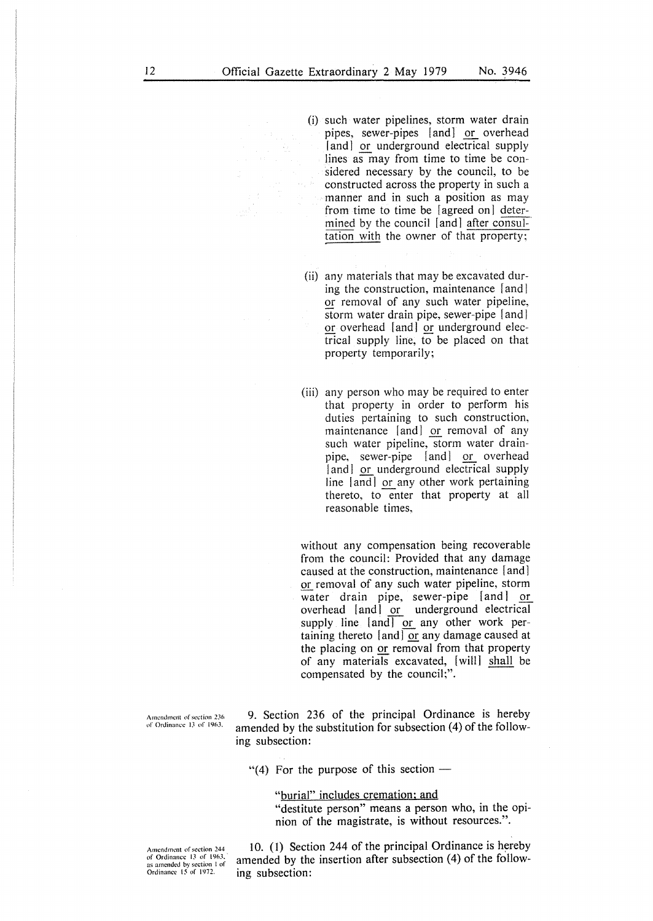(i) such water pipelines, storm water drain pipes, sewer-pipes [and] or overhead [and] or underground electrical supply lines as may from time to time be considered necessary by the council, to be constructed across the property in such a manner and in such a position as may from time to time be [agreed on] determined by the council [and] after consultation with the owner of that property;

- (ii) any materials that may be excavated during the construction, maintenance [and] or removal of any such water pipeline, storm water drain pipe, sewer-pipe [and] or overhead [and] or underground electrical supply line, to be placed on that property temporarily;
- (iii) any person who may be required to enter that property in order to perform his duties pertaining to such construction, maintenance [and] or removal of any such water pipeline, storm water drainpipe, sewer-pipe [and] or overhead [and] or underground electrical supply line [and] or any other work pertaining thereto, to enter that property at all reasonable times,

without any compensation being recoverable from the council: Provided that any damage caused at the construction, maintenance [and] or removal of any such water pipeline, storm water drain pipe, sewer-pipe [and] or overhead [and] or underground electrical supply line  $[and]$  or any other work pertaining thereto  $[$ and $]$  or any damage caused at the placing on or removal from that property the placing on <u>of</u> temoval from that property<br>of any materials excavated, [will] shall be<br>compensated by the council;".

**A111cndmc11t or section 2J6 of Ordinance IJ of 19f1J,** 

**9. Section 236 of the principal Ordinance is hereby amended by the substitution for subsection (4) of the following subsection:** 

"(4) For the purpose of this section  $-$ 

"burial" includes cremation: and "destitute person" means a person who, in the opinion of the magistrate, is without resources.".

Amendment of section 244 of Ordinance 13 of 1963. **as amended bv section I of**  Ordinance 15' of 1972.

10. (I) Section 244 of the principal Ordinance is hereby amended by the insertion after subsection (4) of the following subsection: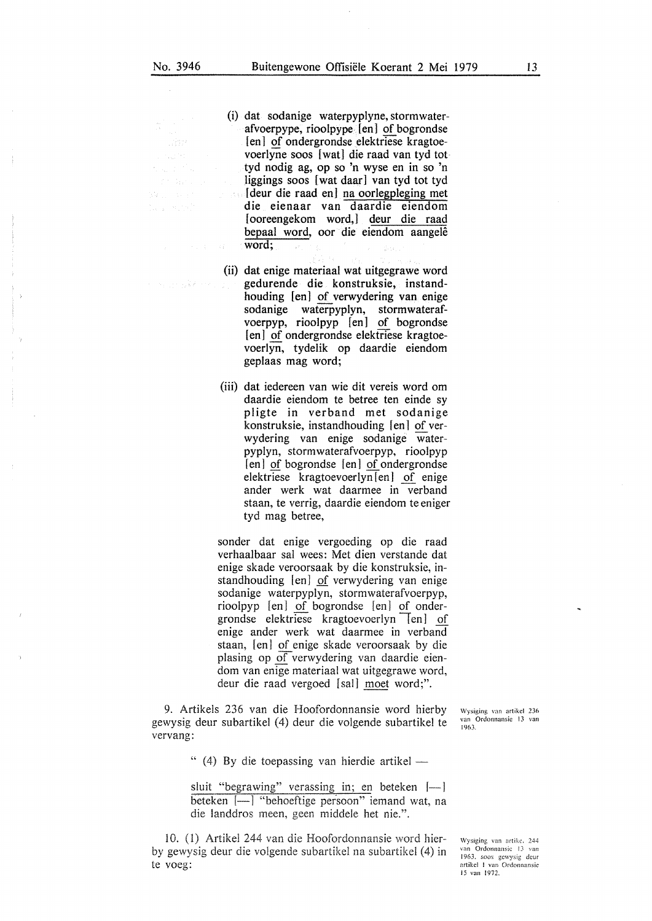of and

- (i) dat sodanige waterpyplyne, stormwaterafvoerpype, rioolpype [en] of bogrondse [en] of ondergrondse elektriese kragtoevoerlyne soos [ wat] die raad van tyd tot tyd nodig ag, op so 'n wyse en in so 'n liggings soos [wat daar] van tyd tot tyd [deur die raad en] na oorlegpleging met die eienaar van daardie eiendom [ooreengekom word,] deur die raad bepaal word, oor die eiendom aangelê word;
- (ii) dat enige materiaal wat uitgegrawe word gedurende die konstruksie, instandhouding [en] of verwydering van enige sodanige waterpyplyn, stormwaterafvoerpyp, rioolpyp [en] of bogrondse [en] of ondergrondse elektriese kragtoevoerlyn, tydelik op daardie eiendom geplaas mag word;
- (iii) dat iedereen van wie dit vereis word om daardie eiendom te betree ten einde sy pligte in verband met sodanige konstruksie, instandhouding [en] of verwydering van enige sodanige waterpyplyn, stormwaterafvoerpyp, rioolpyp [en] of bogrondse [en] of ondergrondse elektriese kragtoevoerlyn [en] of enige ander werk wat daarmee in verband staan, te verrig, daardie eiendom te eniger tyd mag betree,

sonder dat enige vergoeding op die raad verhaalbaar sal wees: Met dien verstande dat enige skade veroorsaak by die konstruksie, instandhouding [en] of verwydering van enige sodanige waterpyplyn, stormwaterafvoerpyp, rioolpyp [en] of bogrondse [en) of ondergrondse elektriese kragtoevoerlyn  $\Box$ en] of enige ander werk wat daarmee in verband staan, [en] of enige skade veroorsaak by die plasing op of verwydering van daardie eiendom van enige materiaal wat uitgegrawe word, deur die raad vergoed [sail moet word;".

9. Artikels 236 van die Hoofordonnansie word hierby gewysig deur subartikel (4) deur die volgende subartikel te vervang:

Wysiging van artikcl 236 van Ordonnansic 13 van 1963.

" (4) By die toepassing van hierdie artikel -

sluit "begrawing" verassing in; en beteken  $[-]$ beteken [-] "behoeftige persoon" iemand wat, na die landdros meen, geen middele het nie.".

10. (1) Artikel 244 van die Hoofordonnansie word hierby gewysig deur die volgende subartikel na subartikel (4) in te voeg:

\Vys1ging van artikc, 24-1 van Ordonnansic ! *3* van 1963. soos gcwysig dcur artikel I van Ordonnansie 15 van 1972.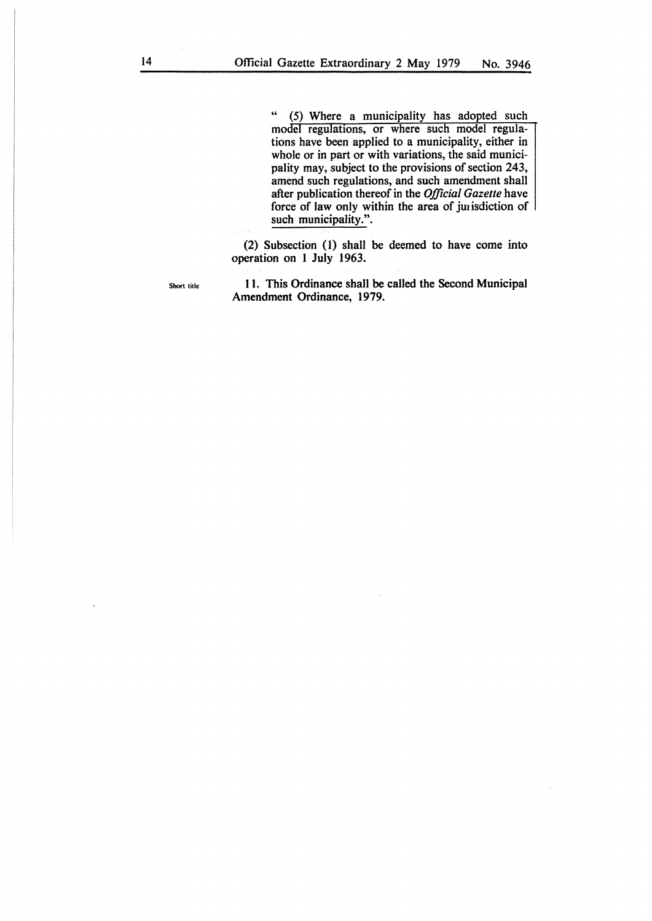" (5) Where a municipality has adopted such model regulations, or where such model regulations have been applied to a municipality, either in whole or in part or with variations, the said municipality may, subject to the provisions of section 243, amend such regulations, and such amendment shall after publication thereof in the *Official Gazette* have force of law only within the area of junisdiction of such municipality.".

(2) Subsection (1) shall be deemed to have come into operation on I July 1963.

Short title

11. This Ordinance shall be called the Second Municipal Amendment Ordinance, 1979.